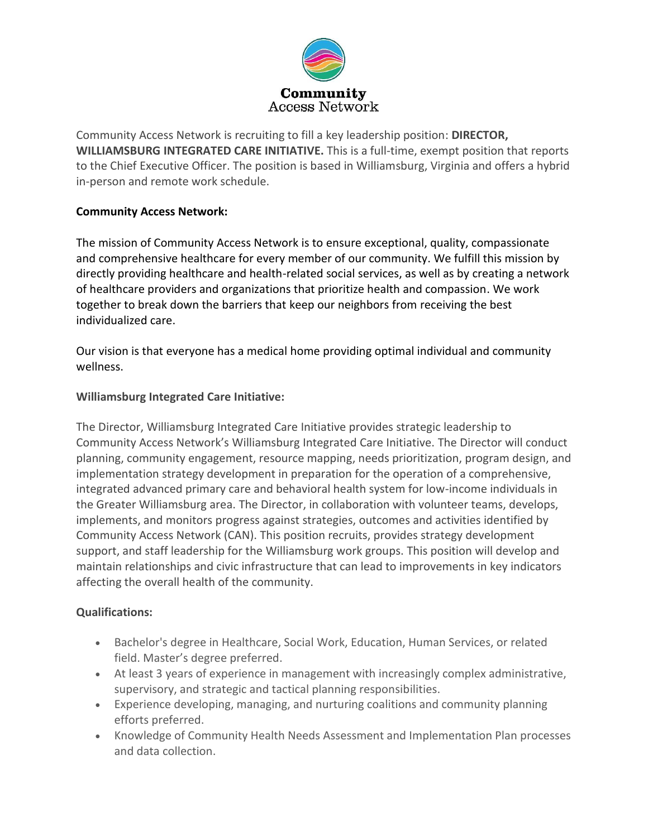

Community Access Network is recruiting to fill a key leadership position: **DIRECTOR, WILLIAMSBURG INTEGRATED CARE INITIATIVE.** This is a full-time, exempt position that reports to the Chief Executive Officer. The position is based in Williamsburg, Virginia and offers a hybrid in-person and remote work schedule.

## **Community Access Network:**

The mission of Community Access Network is to ensure exceptional, quality, compassionate and comprehensive healthcare for every member of our community. We fulfill this mission by directly providing healthcare and health-related social services, as well as by creating a network of healthcare providers and organizations that prioritize health and compassion. We work together to break down the barriers that keep our neighbors from receiving the best individualized care.

Our vision is that everyone has a medical home providing optimal individual and community wellness.

## **Williamsburg Integrated Care Initiative:**

The Director, Williamsburg Integrated Care Initiative provides strategic leadership to Community Access Network's Williamsburg Integrated Care Initiative. The Director will conduct planning, community engagement, resource mapping, needs prioritization, program design, and implementation strategy development in preparation for the operation of a comprehensive, integrated advanced primary care and behavioral health system for low-income individuals in the Greater Williamsburg area. The Director, in collaboration with volunteer teams, develops, implements, and monitors progress against strategies, outcomes and activities identified by Community Access Network (CAN). This position recruits, provides strategy development support, and staff leadership for the Williamsburg work groups. This position will develop and maintain relationships and civic infrastructure that can lead to improvements in key indicators affecting the overall health of the community.

## **Qualifications:**

- Bachelor's degree in Healthcare, Social Work, Education, Human Services, or related field. Master's degree preferred.
- At least 3 years of experience in management with increasingly complex administrative, supervisory, and strategic and tactical planning responsibilities.
- Experience developing, managing, and nurturing coalitions and community planning efforts preferred.
- Knowledge of Community Health Needs Assessment and Implementation Plan processes and data collection.